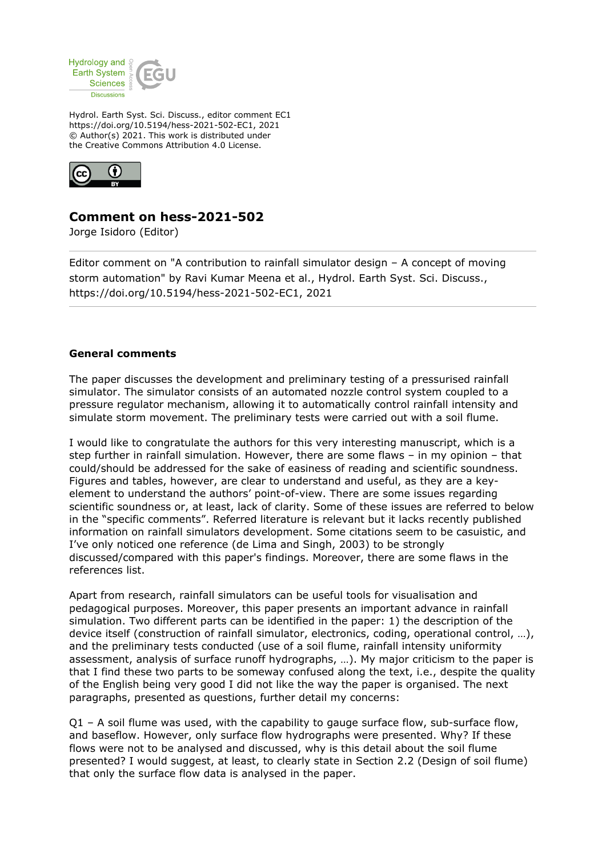

Hydrol. Earth Syst. Sci. Discuss., editor comment EC1 https://doi.org/10.5194/hess-2021-502-EC1, 2021 © Author(s) 2021. This work is distributed under the Creative Commons Attribution 4.0 License.



## **Comment on hess-2021-502**

Jorge Isidoro (Editor)

Editor comment on "A contribution to rainfall simulator design – A concept of moving storm automation" by Ravi Kumar Meena et al., Hydrol. Earth Syst. Sci. Discuss., https://doi.org/10.5194/hess-2021-502-EC1, 2021

## **General comments**

The paper discusses the development and preliminary testing of a pressurised rainfall simulator. The simulator consists of an automated nozzle control system coupled to a pressure regulator mechanism, allowing it to automatically control rainfall intensity and simulate storm movement. The preliminary tests were carried out with a soil flume.

I would like to congratulate the authors for this very interesting manuscript, which is a step further in rainfall simulation. However, there are some flaws – in my opinion – that could/should be addressed for the sake of easiness of reading and scientific soundness. Figures and tables, however, are clear to understand and useful, as they are a keyelement to understand the authors' point-of-view. There are some issues regarding scientific soundness or, at least, lack of clarity. Some of these issues are referred to below in the "specific comments". Referred literature is relevant but it lacks recently published information on rainfall simulators development. Some citations seem to be casuistic, and I've only noticed one reference (de Lima and Singh, 2003) to be strongly discussed/compared with this paper's findings. Moreover, there are some flaws in the references list.

Apart from research, rainfall simulators can be useful tools for visualisation and pedagogical purposes. Moreover, this paper presents an important advance in rainfall simulation. Two different parts can be identified in the paper: 1) the description of the device itself (construction of rainfall simulator, electronics, coding, operational control, …), and the preliminary tests conducted (use of a soil flume, rainfall intensity uniformity assessment, analysis of surface runoff hydrographs, …). My major criticism to the paper is that I find these two parts to be someway confused along the text, i.e., despite the quality of the English being very good I did not like the way the paper is organised. The next paragraphs, presented as questions, further detail my concerns:

 $Q1 - A$  soil flume was used, with the capability to gauge surface flow, sub-surface flow, and baseflow. However, only surface flow hydrographs were presented. Why? If these flows were not to be analysed and discussed, why is this detail about the soil flume presented? I would suggest, at least, to clearly state in Section 2.2 (Design of soil flume) that only the surface flow data is analysed in the paper.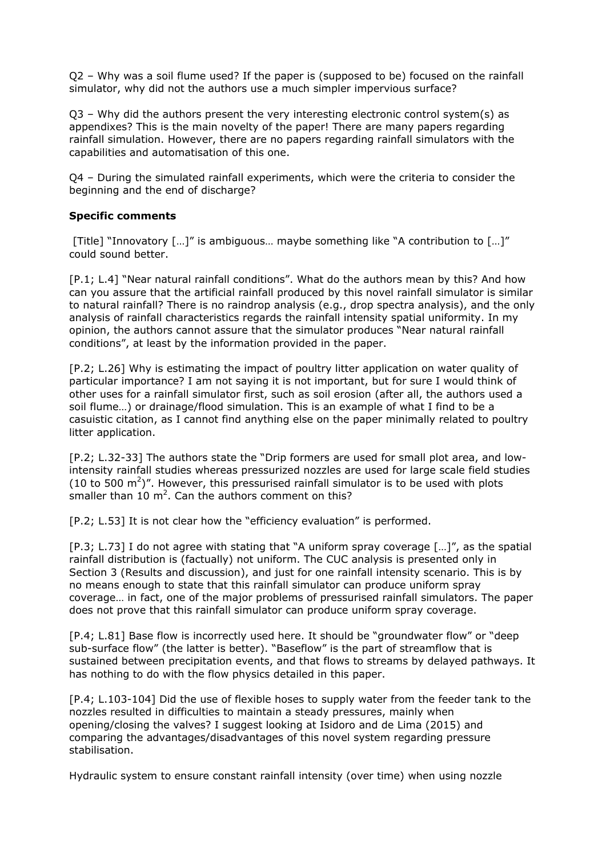Q2 – Why was a soil flume used? If the paper is (supposed to be) focused on the rainfall simulator, why did not the authors use a much simpler impervious surface?

 $Q3$  – Why did the authors present the very interesting electronic control system(s) as appendixes? This is the main novelty of the paper! There are many papers regarding rainfall simulation. However, there are no papers regarding rainfall simulators with the capabilities and automatisation of this one.

Q4 – During the simulated rainfall experiments, which were the criteria to consider the beginning and the end of discharge?

## **Specific comments**

[Title] "Innovatory […]" is ambiguous… maybe something like "A contribution to […]" could sound better.

[P.1; L.4] "Near natural rainfall conditions". What do the authors mean by this? And how can you assure that the artificial rainfall produced by this novel rainfall simulator is similar to natural rainfall? There is no raindrop analysis (e.g., drop spectra analysis), and the only analysis of rainfall characteristics regards the rainfall intensity spatial uniformity. In my opinion, the authors cannot assure that the simulator produces "Near natural rainfall conditions", at least by the information provided in the paper.

[P.2; L.26] Why is estimating the impact of poultry litter application on water quality of particular importance? I am not saying it is not important, but for sure I would think of other uses for a rainfall simulator first, such as soil erosion (after all, the authors used a soil flume…) or drainage/flood simulation. This is an example of what I find to be a casuistic citation, as I cannot find anything else on the paper minimally related to poultry litter application.

[P.2; L.32-33] The authors state the "Drip formers are used for small plot area, and lowintensity rainfall studies whereas pressurized nozzles are used for large scale field studies (10 to 500  $\text{m}^2$ )". However, this pressurised rainfall simulator is to be used with plots smaller than 10  $m^2$ . Can the authors comment on this?

[P.2; L.53] It is not clear how the "efficiency evaluation" is performed.

[P.3; L.73] I do not agree with stating that "A uniform spray coverage […]", as the spatial rainfall distribution is (factually) not uniform. The CUC analysis is presented only in Section 3 (Results and discussion), and just for one rainfall intensity scenario. This is by no means enough to state that this rainfall simulator can produce uniform spray coverage… in fact, one of the major problems of pressurised rainfall simulators. The paper does not prove that this rainfall simulator can produce uniform spray coverage.

[P.4; L.81] Base flow is incorrectly used here. It should be "groundwater flow" or "deep sub-surface flow" (the latter is better). "Baseflow" is the part of streamflow that is sustained between precipitation events, and that flows to streams by delayed pathways. It has nothing to do with the flow physics detailed in this paper.

[P.4; L.103-104] Did the use of flexible hoses to supply water from the feeder tank to the nozzles resulted in difficulties to maintain a steady pressures, mainly when opening/closing the valves? I suggest looking at Isidoro and de Lima (2015) and comparing the advantages/disadvantages of this novel system regarding pressure stabilisation.

Hydraulic system to ensure constant rainfall intensity (over time) when using nozzle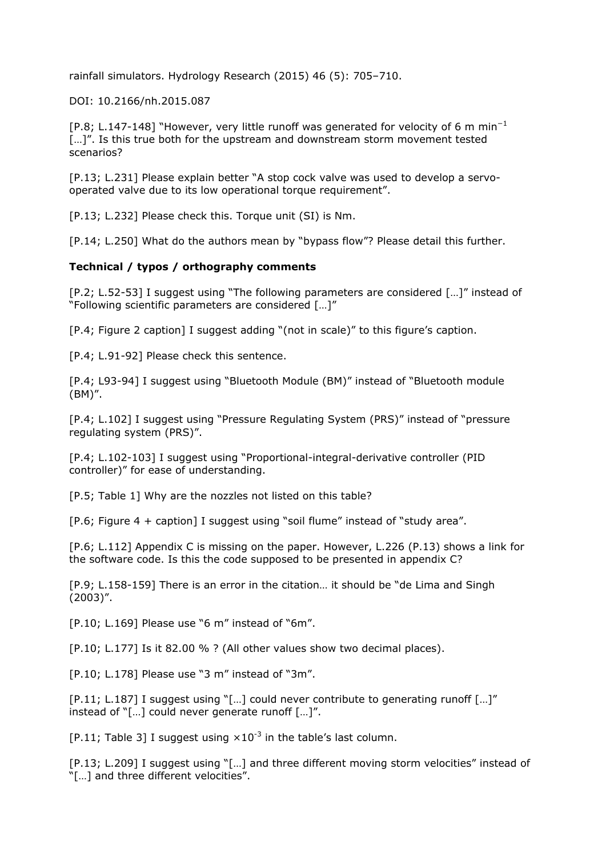rainfall simulators. Hydrology Research (2015) 46 (5): 705–710.

DOI: 10.2166/nh.2015.087

[P.8; L.147-148] "However, very little runoff was generated for velocity of 6 m min<sup>-1</sup> [...]". Is this true both for the upstream and downstream storm movement tested scenarios?

[P.13; L.231] Please explain better "A stop cock valve was used to develop a servooperated valve due to its low operational torque requirement".

[P.13; L.232] Please check this. Torque unit (SI) is Nm.

[P.14; L.250] What do the authors mean by "bypass flow"? Please detail this further.

## **Technical / typos / orthography comments**

[P.2; L.52-53] I suggest using "The following parameters are considered […]" instead of "Following scientific parameters are considered […]"

[P.4; Figure 2 caption] I suggest adding "(not in scale)" to this figure's caption.

[P.4; L.91-92] Please check this sentence.

[P.4; L93-94] I suggest using "Bluetooth Module (BM)" instead of "Bluetooth module (BM)".

[P.4; L.102] I suggest using "Pressure Regulating System (PRS)" instead of "pressure regulating system (PRS)".

[P.4; L.102-103] I suggest using "Proportional-integral-derivative controller (PID controller)" for ease of understanding.

[P.5; Table 1] Why are the nozzles not listed on this table?

[P.6; Figure 4 + caption] I suggest using "soil flume" instead of "study area".

[P.6; L.112] Appendix C is missing on the paper. However, L.226 (P.13) shows a link for the software code. Is this the code supposed to be presented in appendix C?

[P.9; L.158-159] There is an error in the citation… it should be "de Lima and Singh (2003)".

[P.10; L.169] Please use "6 m" instead of "6m".

[P.10; L.177] Is it 82.00 % ? (All other values show two decimal places).

[P.10; L.178] Please use "3 m" instead of "3m".

[P.11; L.187] I suggest using "[…] could never contribute to generating runoff […]" instead of "[…] could never generate runoff […]".

[P.11; Table 3] I suggest using  $\times 10^{-3}$  in the table's last column.

[P.13; L.209] I suggest using "[…] and three different moving storm velocities" instead of "[…] and three different velocities".